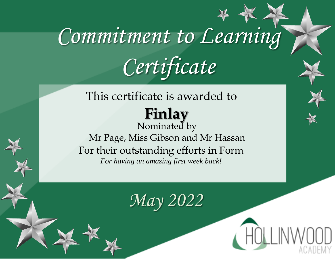#### This certificate is awarded to **Finlay**  Nominated by

Mr Page, Miss Gibson and Mr Hassan For their outstanding efforts in Form *For having an amazing first week back!*

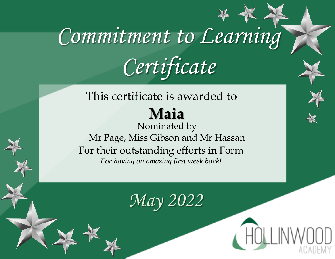## This certificate is awarded to

#### **Maia**

Nominated by Mr Page, Miss Gibson and Mr Hassan For their outstanding efforts in Form *For having an amazing first week back!*

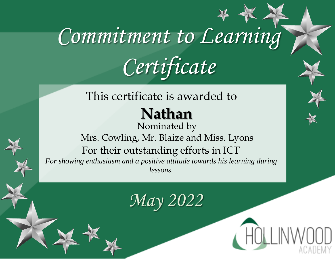#### This certificate is awarded to

### **Nathan**

Nominated by Mrs. Cowling, Mr. Blaize and Miss. Lyons For their outstanding efforts in ICT *For showing enthusiasm and a positive attitude towards his learning during lessons.*

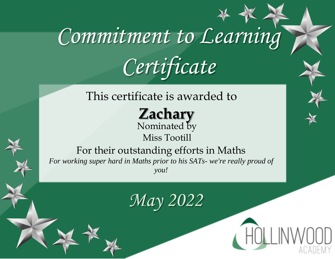This certificate is awarded to

**Zachary**  Nominated by Miss Tootill

For their outstanding efforts in Maths *For working super hard in Maths prior to his SATs- we're really proud of you!*

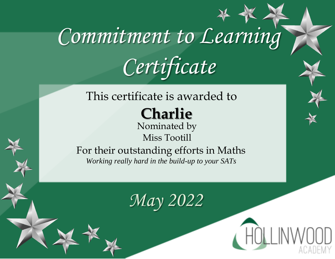#### This certificate is awarded to

**Charlie** 

Nominated by Miss Tootill

For their outstanding efforts in Maths *Working really hard in the build-up to your SATs*

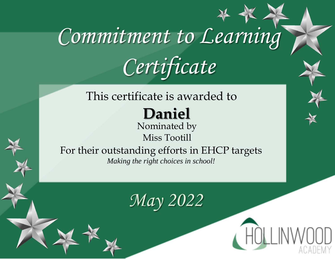#### This certificate is awarded to

### **Daniel**

Nominated by Miss Tootill

For their outstanding efforts in EHCP targets *Making the right choices in school!*

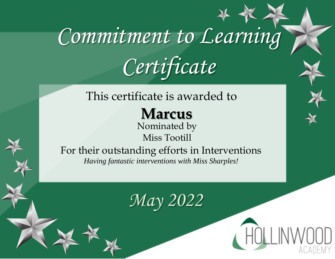#### This certificate is awarded to

**Marcus** 

Nominated by Miss Tootill

For their outstanding efforts in Interventions *Having fantastic interventions with Miss Sharples!*

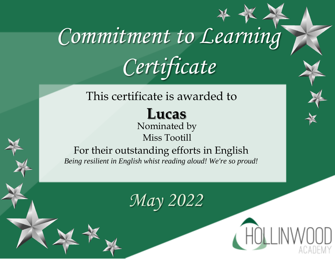#### This certificate is awarded to

### **Lucas**

Nominated by Miss Tootill

For their outstanding efforts in English *Being resilient in English whist reading aloud! We're so proud!*



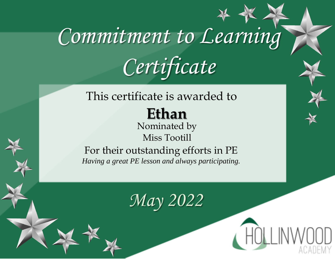### This certificate is awarded to

#### **Ethan**

Nominated by Miss Tootill

For their outstanding efforts in PE *Having a great PE lesson and always participating.*

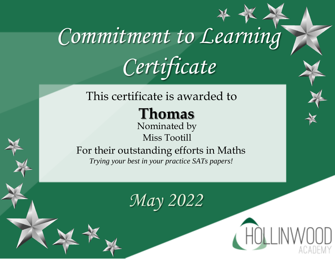#### This certificate is awarded to

**Thomas** 

Nominated by Miss Tootill

For their outstanding efforts in Maths *Trying your best in your practice SATs papers!*

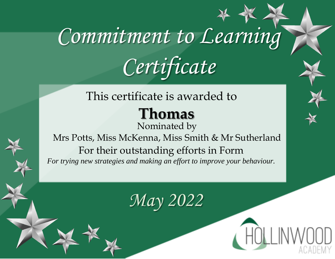#### This certificate is awarded to

### **Thomas**

Nominated by Mrs Potts, Miss McKenna, Miss Smith & Mr Sutherland For their outstanding efforts in Form *For trying new strategies and making an effort to improve your behaviour.*

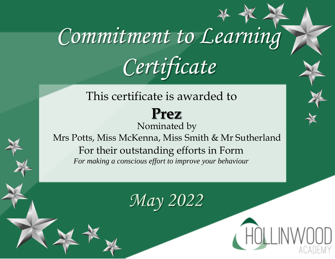This certificate is awarded to

### **Prez**

Nominated by Mrs Potts, Miss McKenna, Miss Smith & Mr Sutherland For their outstanding efforts in Form *For making a conscious effort to improve your behaviour*

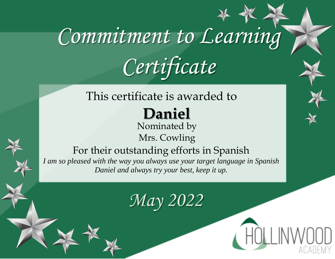#### This certificate is awarded to

## **Daniel**

Nominated by Mrs. Cowling

For their outstanding efforts in Spanish *I am so pleased with the way you always use your target language in Spanish Daniel and always try your best, keep it up.*

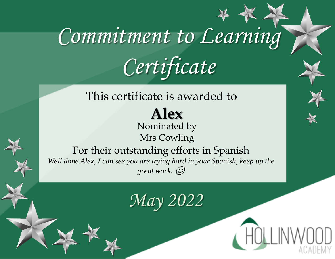#### This certificate is awarded to

#### **Alex** Nominated by Mrs Cowling

For their outstanding efforts in Spanish *Well done Alex, I can see you are trying hard in your Spanish, keep up the great work.*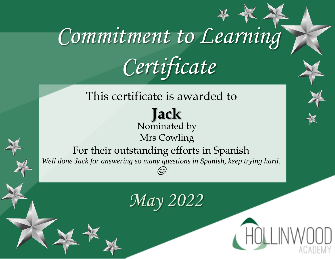This certificate is awarded to

**Jack**  Nominated by Mrs Cowling

For their outstanding efforts in Spanish *Well done Jack for answering so many questions in Spanish, keep trying hard.* 

(ش)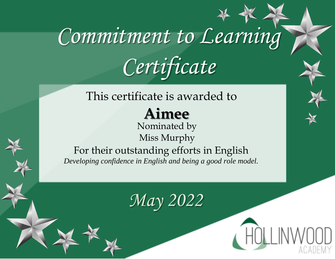#### This certificate is awarded to

### **Aimee**

Nominated by Miss Murphy

For their outstanding efforts in English *Developing confidence in English and being a good role model.*

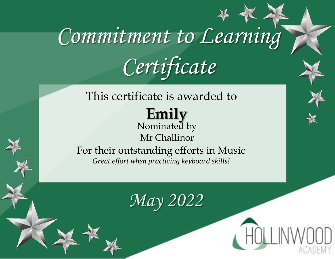### This certificate is awarded to

**Emily**  Nominated by Mr Challinor

For their outstanding efforts in Music *Great effort when practicing keyboard skills!*

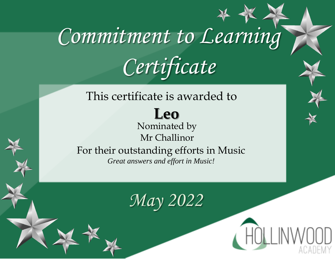### This certificate is awarded to

### **Leo**

Nominated by Mr Challinor For their outstanding efforts in Music *Great answers and effort in Music!*

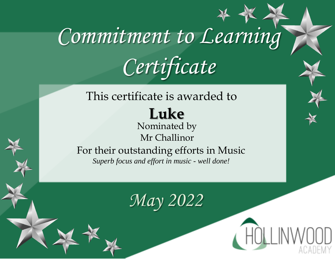#### This certificate is awarded to

#### **Luke**  Nominated by

### Mr Challinor

For their outstanding efforts in Music *Superb focus and effort in music - well done!*

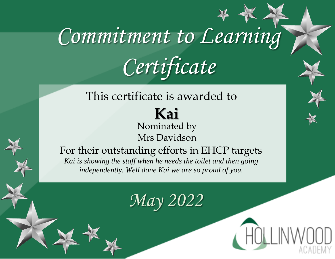#### This certificate is awarded to

**Kai**  Nominated by Mrs Davidson

For their outstanding efforts in EHCP targets *Kai is showing the staff when he needs the toilet and then going independently. Well done Kai we are so proud of you.*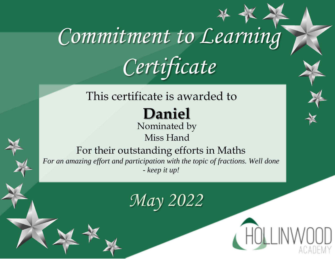#### This certificate is awarded to

## **Daniel**

Nominated by Miss Hand

For their outstanding efforts in Maths *For an amazing effort and participation with the topic of fractions. Well done - keep it up!*

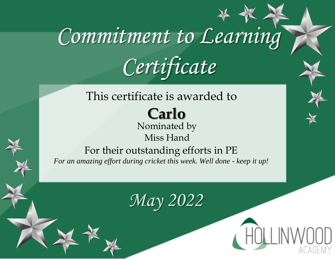#### This certificate is awarded to

**Carlo** Nominated by Miss Hand

For their outstanding efforts in PE *For an amazing effort during cricket this week. Well done - keep it up!*